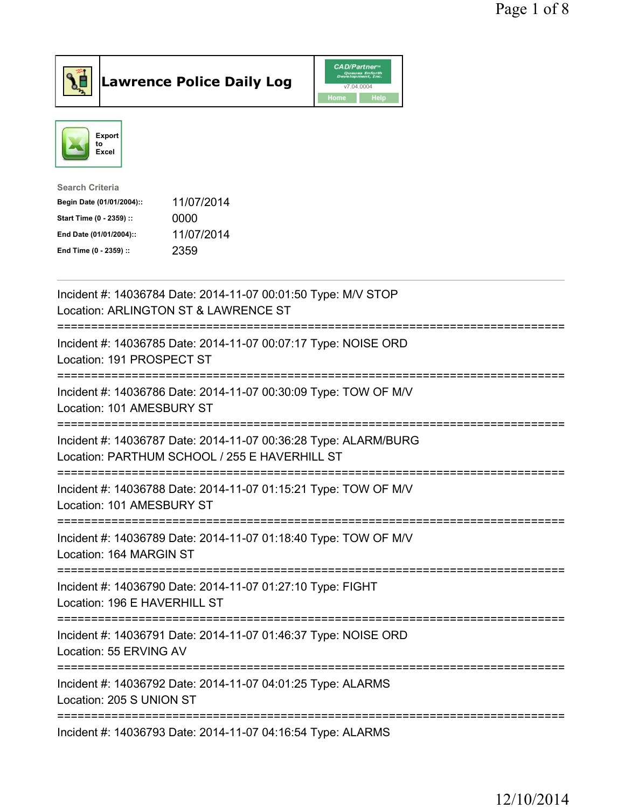



| <b>Search Criteria</b>    |            |
|---------------------------|------------|
| Begin Date (01/01/2004):: | 11/07/2014 |
| Start Time (0 - 2359) ::  | 0000       |
| End Date (01/01/2004)::   | 11/07/2014 |
| End Time (0 - 2359) ::    | 2359       |
|                           |            |

| Incident #: 14036784 Date: 2014-11-07 00:01:50 Type: M/V STOP<br>Location: ARLINGTON ST & LAWRENCE ST            |
|------------------------------------------------------------------------------------------------------------------|
| Incident #: 14036785 Date: 2014-11-07 00:07:17 Type: NOISE ORD<br>Location: 191 PROSPECT ST                      |
| Incident #: 14036786 Date: 2014-11-07 00:30:09 Type: TOW OF M/V<br>Location: 101 AMESBURY ST                     |
| Incident #: 14036787 Date: 2014-11-07 00:36:28 Type: ALARM/BURG<br>Location: PARTHUM SCHOOL / 255 E HAVERHILL ST |
| Incident #: 14036788 Date: 2014-11-07 01:15:21 Type: TOW OF M/V<br>Location: 101 AMESBURY ST                     |
| Incident #: 14036789 Date: 2014-11-07 01:18:40 Type: TOW OF M/V<br>Location: 164 MARGIN ST<br>.-------------     |
| Incident #: 14036790 Date: 2014-11-07 01:27:10 Type: FIGHT<br>Location: 196 E HAVERHILL ST<br>============       |
| Incident #: 14036791 Date: 2014-11-07 01:46:37 Type: NOISE ORD<br>Location: 55 ERVING AV                         |
| Incident #: 14036792 Date: 2014-11-07 04:01:25 Type: ALARMS<br>Location: 205 S UNION ST                          |
| Incident #: 14036793 Date: 2014-11-07 04:16:54 Type: ALARMS                                                      |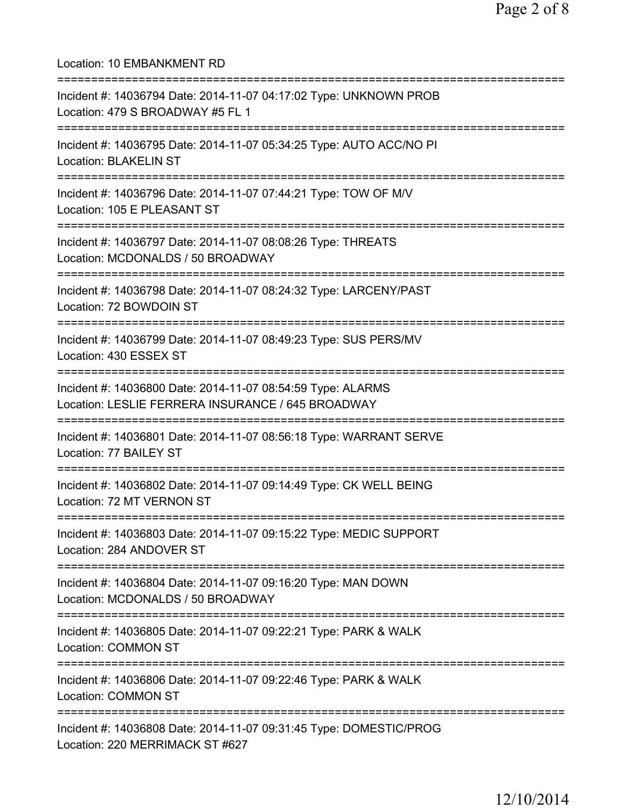Location: 10 EMBANKMENT RD =========================================================================== Incident #: 14036794 Date: 2014-11-07 04:17:02 Type: UNKNOWN PROB Location: 479 S BROADWAY #5 FL 1 =========================================================================== Incident #: 14036795 Date: 2014-11-07 05:34:25 Type: AUTO ACC/NO PI Location: BLAKELIN ST =========================================================================== Incident #: 14036796 Date: 2014-11-07 07:44:21 Type: TOW OF M/V Location: 105 E PLEASANT ST =========================================================================== Incident #: 14036797 Date: 2014-11-07 08:08:26 Type: THREATS Location: MCDONALDS / 50 BROADWAY =========================================================================== Incident #: 14036798 Date: 2014-11-07 08:24:32 Type: LARCENY/PAST Location: 72 BOWDOIN ST =========================================================================== Incident #: 14036799 Date: 2014-11-07 08:49:23 Type: SUS PERS/MV Location: 430 ESSEX ST =========================================================================== Incident #: 14036800 Date: 2014-11-07 08:54:59 Type: ALARMS Location: LESLIE FERRERA INSURANCE / 645 BROADWAY =========================================================================== Incident #: 14036801 Date: 2014-11-07 08:56:18 Type: WARRANT SERVE Location: 77 BAILEY ST =========================================================================== Incident #: 14036802 Date: 2014-11-07 09:14:49 Type: CK WELL BEING Location: 72 MT VERNON ST =========================================================================== Incident #: 14036803 Date: 2014-11-07 09:15:22 Type: MEDIC SUPPORT Location: 284 ANDOVER ST =========================================================================== Incident #: 14036804 Date: 2014-11-07 09:16:20 Type: MAN DOWN Location: MCDONALDS / 50 BROADWAY =========================================================================== Incident #: 14036805 Date: 2014-11-07 09:22:21 Type: PARK & WALK Location: COMMON ST =========================================================================== Incident #: 14036806 Date: 2014-11-07 09:22:46 Type: PARK & WALK Location: COMMON ST =========================================================================== Incident #: 14036808 Date: 2014-11-07 09:31:45 Type: DOMESTIC/PROG Location: 220 MERRIMACK ST #627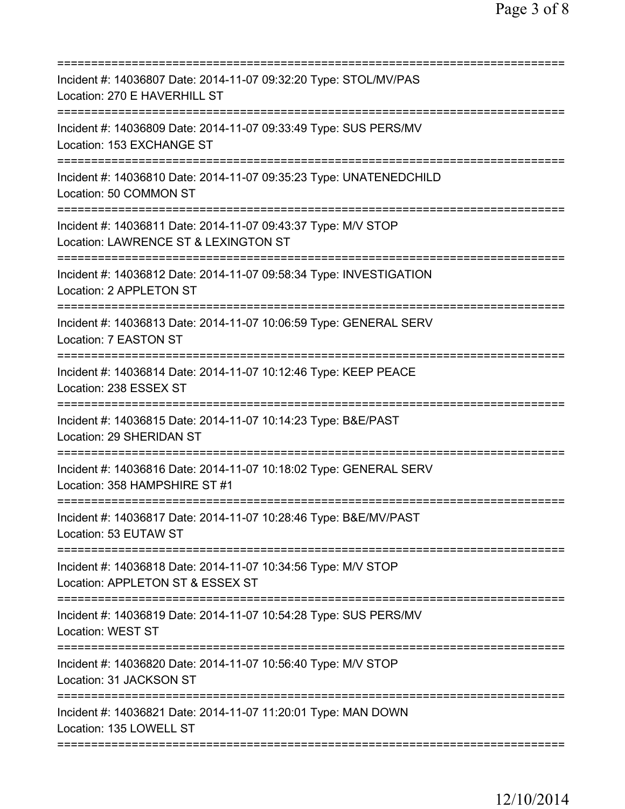| Incident #: 14036807 Date: 2014-11-07 09:32:20 Type: STOL/MV/PAS<br>Location: 270 E HAVERHILL ST<br>=======================           |
|---------------------------------------------------------------------------------------------------------------------------------------|
| Incident #: 14036809 Date: 2014-11-07 09:33:49 Type: SUS PERS/MV<br>Location: 153 EXCHANGE ST                                         |
| Incident #: 14036810 Date: 2014-11-07 09:35:23 Type: UNATENEDCHILD<br>Location: 50 COMMON ST                                          |
| Incident #: 14036811 Date: 2014-11-07 09:43:37 Type: M/V STOP<br>Location: LAWRENCE ST & LEXINGTON ST<br>=======================      |
| Incident #: 14036812 Date: 2014-11-07 09:58:34 Type: INVESTIGATION<br>Location: 2 APPLETON ST                                         |
| ==================<br>Incident #: 14036813 Date: 2014-11-07 10:06:59 Type: GENERAL SERV<br>Location: 7 EASTON ST                      |
| Incident #: 14036814 Date: 2014-11-07 10:12:46 Type: KEEP PEACE<br>Location: 238 ESSEX ST                                             |
| Incident #: 14036815 Date: 2014-11-07 10:14:23 Type: B&E/PAST<br>Location: 29 SHERIDAN ST                                             |
| Incident #: 14036816 Date: 2014-11-07 10:18:02 Type: GENERAL SERV<br>Location: 358 HAMPSHIRE ST #1                                    |
| Incident #: 14036817 Date: 2014-11-07 10:28:46 Type: B&E/MV/PAST<br>Location: 53 EUTAW ST                                             |
| .-------------------------------<br>Incident #: 14036818 Date: 2014-11-07 10:34:56 Type: M/V STOP<br>Location: APPLETON ST & ESSEX ST |
| Incident #: 14036819 Date: 2014-11-07 10:54:28 Type: SUS PERS/MV<br>Location: WEST ST                                                 |
| Incident #: 14036820 Date: 2014-11-07 10:56:40 Type: M/V STOP<br>Location: 31 JACKSON ST                                              |
| Incident #: 14036821 Date: 2014-11-07 11:20:01 Type: MAN DOWN<br>Location: 135 LOWELL ST                                              |
|                                                                                                                                       |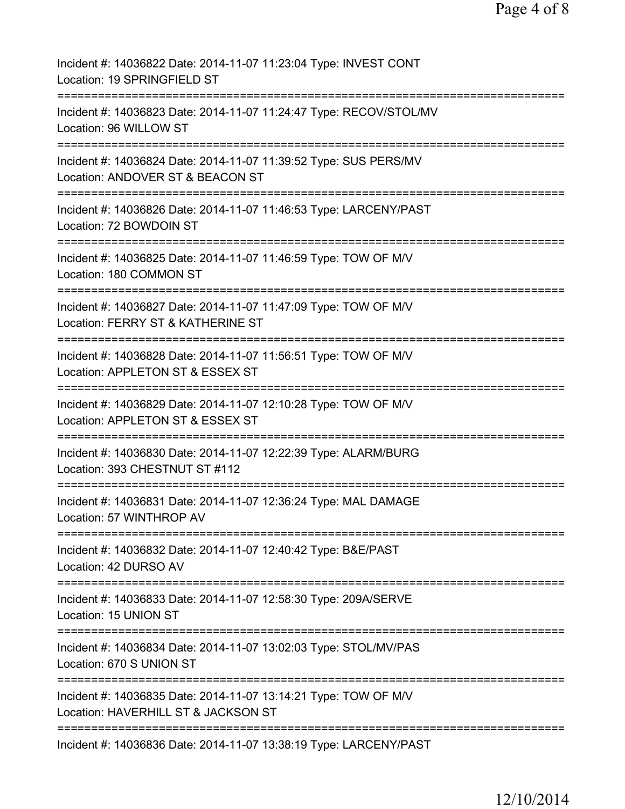| Incident #: 14036822 Date: 2014-11-07 11:23:04 Type: INVEST CONT<br>Location: 19 SPRINGFIELD ST                    |
|--------------------------------------------------------------------------------------------------------------------|
| Incident #: 14036823 Date: 2014-11-07 11:24:47 Type: RECOV/STOL/MV<br>Location: 96 WILLOW ST                       |
| Incident #: 14036824 Date: 2014-11-07 11:39:52 Type: SUS PERS/MV<br>Location: ANDOVER ST & BEACON ST               |
| Incident #: 14036826 Date: 2014-11-07 11:46:53 Type: LARCENY/PAST<br>Location: 72 BOWDOIN ST                       |
| Incident #: 14036825 Date: 2014-11-07 11:46:59 Type: TOW OF M/V<br>Location: 180 COMMON ST                         |
| Incident #: 14036827 Date: 2014-11-07 11:47:09 Type: TOW OF M/V<br>Location: FERRY ST & KATHERINE ST               |
| Incident #: 14036828 Date: 2014-11-07 11:56:51 Type: TOW OF M/V<br>Location: APPLETON ST & ESSEX ST                |
| Incident #: 14036829 Date: 2014-11-07 12:10:28 Type: TOW OF M/V<br>Location: APPLETON ST & ESSEX ST                |
| :============<br>Incident #: 14036830 Date: 2014-11-07 12:22:39 Type: ALARM/BURG<br>Location: 393 CHESTNUT ST #112 |
| Incident #: 14036831 Date: 2014-11-07 12:36:24 Type: MAL DAMAGE<br>Location: 57 WINTHROP AV                        |
| Incident #: 14036832 Date: 2014-11-07 12:40:42 Type: B&E/PAST<br>Location: 42 DURSO AV                             |
| Incident #: 14036833 Date: 2014-11-07 12:58:30 Type: 209A/SERVE<br>Location: 15 UNION ST                           |
| Incident #: 14036834 Date: 2014-11-07 13:02:03 Type: STOL/MV/PAS<br>Location: 670 S UNION ST                       |
| Incident #: 14036835 Date: 2014-11-07 13:14:21 Type: TOW OF M/V<br>Location: HAVERHILL ST & JACKSON ST             |
| Incident #: 14036836 Date: 2014-11-07 13:38:19 Type: LARCENY/PAST                                                  |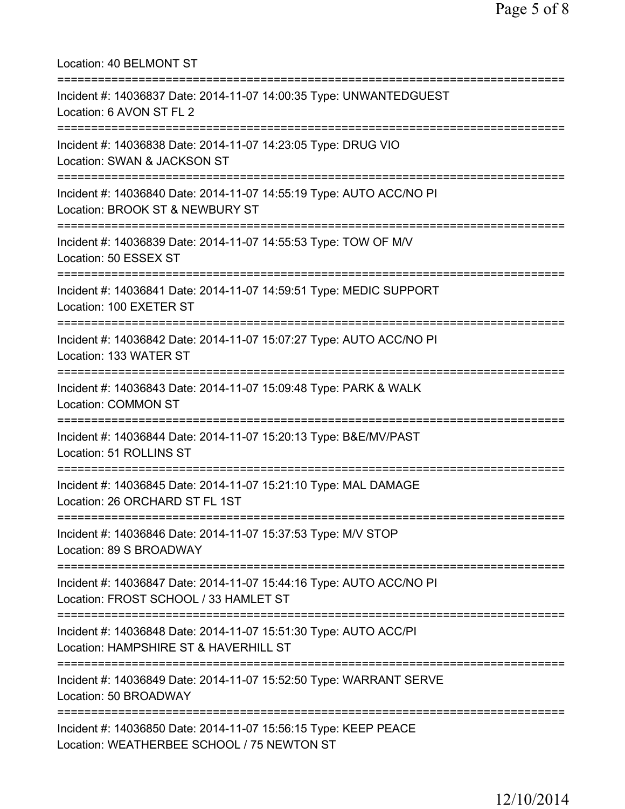| Location: 40 BELMONT ST                                                                                                                     |
|---------------------------------------------------------------------------------------------------------------------------------------------|
| Incident #: 14036837 Date: 2014-11-07 14:00:35 Type: UNWANTEDGUEST<br>Location: 6 AVON ST FL 2                                              |
| Incident #: 14036838 Date: 2014-11-07 14:23:05 Type: DRUG VIO<br>Location: SWAN & JACKSON ST                                                |
| Incident #: 14036840 Date: 2014-11-07 14:55:19 Type: AUTO ACC/NO PI<br>Location: BROOK ST & NEWBURY ST<br>======================            |
| Incident #: 14036839 Date: 2014-11-07 14:55:53 Type: TOW OF M/V<br>Location: 50 ESSEX ST                                                    |
| Incident #: 14036841 Date: 2014-11-07 14:59:51 Type: MEDIC SUPPORT<br>Location: 100 EXETER ST                                               |
| Incident #: 14036842 Date: 2014-11-07 15:07:27 Type: AUTO ACC/NO PI<br>Location: 133 WATER ST                                               |
| Incident #: 14036843 Date: 2014-11-07 15:09:48 Type: PARK & WALK<br><b>Location: COMMON ST</b>                                              |
| Incident #: 14036844 Date: 2014-11-07 15:20:13 Type: B&E/MV/PAST<br>Location: 51 ROLLINS ST                                                 |
| Incident #: 14036845 Date: 2014-11-07 15:21:10 Type: MAL DAMAGE<br>Location: 26 ORCHARD ST FL 1ST<br>====================================== |
| Incident #: 14036846 Date: 2014-11-07 15:37:53 Type: M/V STOP<br>Location: 89 S BROADWAY                                                    |
| Incident #: 14036847 Date: 2014-11-07 15:44:16 Type: AUTO ACC/NO PI<br>Location: FROST SCHOOL / 33 HAMLET ST                                |
| Incident #: 14036848 Date: 2014-11-07 15:51:30 Type: AUTO ACC/PI<br>Location: HAMPSHIRE ST & HAVERHILL ST                                   |
| Incident #: 14036849 Date: 2014-11-07 15:52:50 Type: WARRANT SERVE<br>Location: 50 BROADWAY                                                 |
| Incident #: 14036850 Date: 2014-11-07 15:56:15 Type: KEEP PEACE<br>Location: WEATHERBEE SCHOOL / 75 NEWTON ST                               |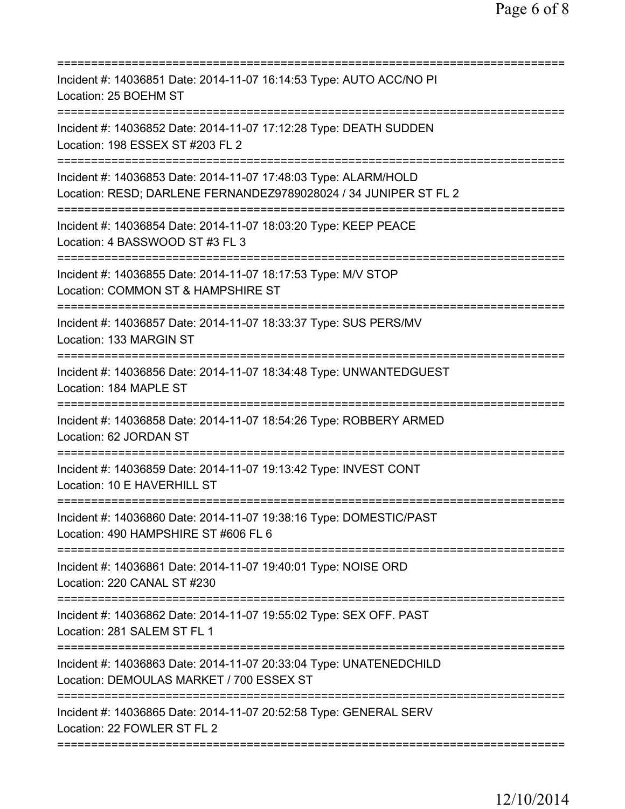| Incident #: 14036851 Date: 2014-11-07 16:14:53 Type: AUTO ACC/NO PI<br>Location: 25 BOEHM ST                                        |
|-------------------------------------------------------------------------------------------------------------------------------------|
| Incident #: 14036852 Date: 2014-11-07 17:12:28 Type: DEATH SUDDEN<br>Location: 198 ESSEX ST #203 FL 2                               |
| Incident #: 14036853 Date: 2014-11-07 17:48:03 Type: ALARM/HOLD<br>Location: RESD; DARLENE FERNANDEZ9789028024 / 34 JUNIPER ST FL 2 |
| Incident #: 14036854 Date: 2014-11-07 18:03:20 Type: KEEP PEACE<br>Location: 4 BASSWOOD ST #3 FL 3                                  |
| Incident #: 14036855 Date: 2014-11-07 18:17:53 Type: M/V STOP<br>Location: COMMON ST & HAMPSHIRE ST                                 |
| Incident #: 14036857 Date: 2014-11-07 18:33:37 Type: SUS PERS/MV<br>Location: 133 MARGIN ST                                         |
| Incident #: 14036856 Date: 2014-11-07 18:34:48 Type: UNWANTEDGUEST<br>Location: 184 MAPLE ST                                        |
| Incident #: 14036858 Date: 2014-11-07 18:54:26 Type: ROBBERY ARMED<br>Location: 62 JORDAN ST                                        |
| Incident #: 14036859 Date: 2014-11-07 19:13:42 Type: INVEST CONT<br>Location: 10 E HAVERHILL ST                                     |
| Incident #: 14036860 Date: 2014-11-07 19:38:16 Type: DOMESTIC/PAST<br>Location: 490 HAMPSHIRE ST #606 FL 6                          |
| ================================<br>Incident #: 14036861 Date: 2014-11-07 19:40:01 Type: NOISE ORD<br>Location: 220 CANAL ST #230   |
| Incident #: 14036862 Date: 2014-11-07 19:55:02 Type: SEX OFF. PAST<br>Location: 281 SALEM ST FL 1                                   |
| Incident #: 14036863 Date: 2014-11-07 20:33:04 Type: UNATENEDCHILD<br>Location: DEMOULAS MARKET / 700 ESSEX ST                      |
| Incident #: 14036865 Date: 2014-11-07 20:52:58 Type: GENERAL SERV<br>Location: 22 FOWLER ST FL 2                                    |
|                                                                                                                                     |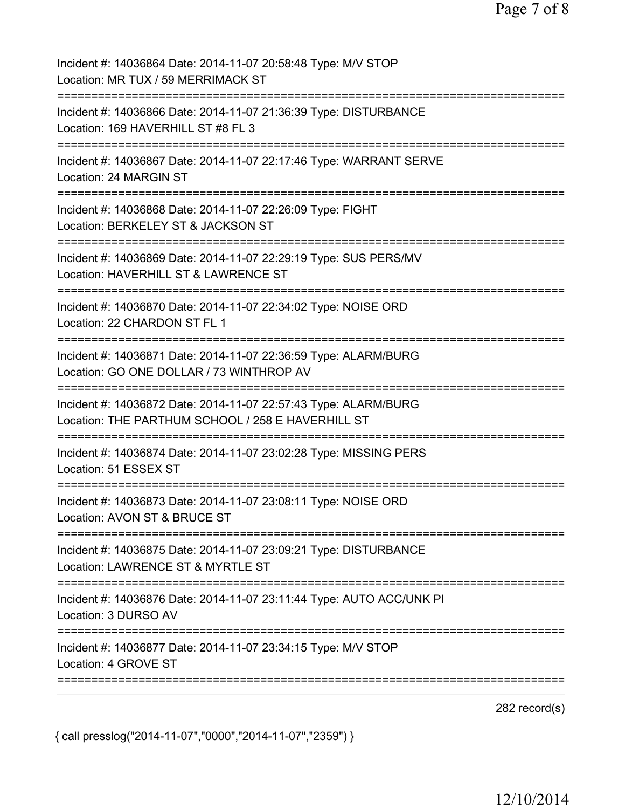| Incident #: 14036864 Date: 2014-11-07 20:58:48 Type: M/V STOP<br>Location: MR TUX / 59 MERRIMACK ST                                   |
|---------------------------------------------------------------------------------------------------------------------------------------|
| Incident #: 14036866 Date: 2014-11-07 21:36:39 Type: DISTURBANCE<br>Location: 169 HAVERHILL ST #8 FL 3                                |
| Incident #: 14036867 Date: 2014-11-07 22:17:46 Type: WARRANT SERVE<br>Location: 24 MARGIN ST                                          |
| Incident #: 14036868 Date: 2014-11-07 22:26:09 Type: FIGHT<br>Location: BERKELEY ST & JACKSON ST<br>==========================        |
| Incident #: 14036869 Date: 2014-11-07 22:29:19 Type: SUS PERS/MV<br>Location: HAVERHILL ST & LAWRENCE ST<br>:======================== |
| Incident #: 14036870 Date: 2014-11-07 22:34:02 Type: NOISE ORD<br>Location: 22 CHARDON ST FL 1                                        |
| Incident #: 14036871 Date: 2014-11-07 22:36:59 Type: ALARM/BURG<br>Location: GO ONE DOLLAR / 73 WINTHROP AV                           |
| Incident #: 14036872 Date: 2014-11-07 22:57:43 Type: ALARM/BURG<br>Location: THE PARTHUM SCHOOL / 258 E HAVERHILL ST                  |
| Incident #: 14036874 Date: 2014-11-07 23:02:28 Type: MISSING PERS<br>Location: 51 ESSEX ST                                            |
| Incident #: 14036873 Date: 2014-11-07 23:08:11 Type: NOISE ORD<br>Location: AVON ST & BRUCE ST                                        |
| Incident #: 14036875 Date: 2014-11-07 23:09:21 Type: DISTURBANCE<br>Location: LAWRENCE ST & MYRTLE ST                                 |
| Incident #: 14036876 Date: 2014-11-07 23:11:44 Type: AUTO ACC/UNK PI<br>Location: 3 DURSO AV                                          |
| Incident #: 14036877 Date: 2014-11-07 23:34:15 Type: M/V STOP<br>Location: 4 GROVE ST                                                 |
|                                                                                                                                       |

282 record(s)

{ call presslog("2014-11-07","0000","2014-11-07","2359") }